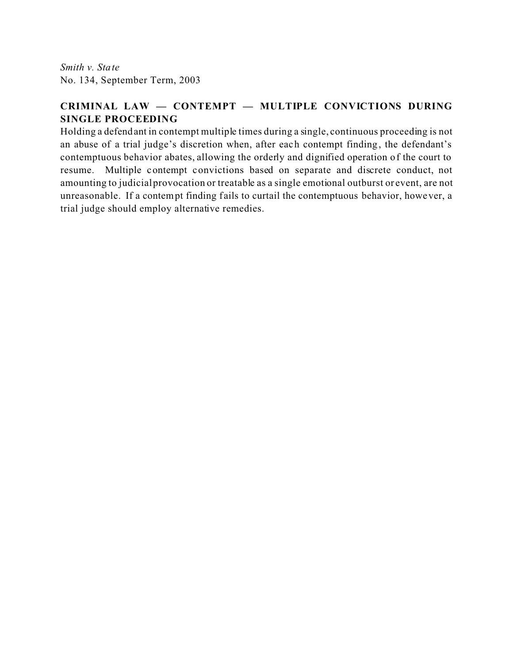*Smith v. State* No. 134, September Term, 2003

# **CRIMINAL LAW — CONTEMPT — MULTIPLE CONVICTIONS DURING SINGLE PROCEEDING**

Holding a defendant in contempt multiple times during a single, continuous proceeding is not an abuse of a trial judge's discretion when, after each contempt finding, the defendant's contemptuous behavior abates, allowing the orderly and dignified operation of the court to resume. Multiple contempt convictions based on separate and discrete conduct, not amounting to judicial provocation or treatable as a single emotional outburst or event, are not unreasonable. If a contempt finding fails to curtail the contemptuous behavior, however, a trial judge should employ alternative remedies.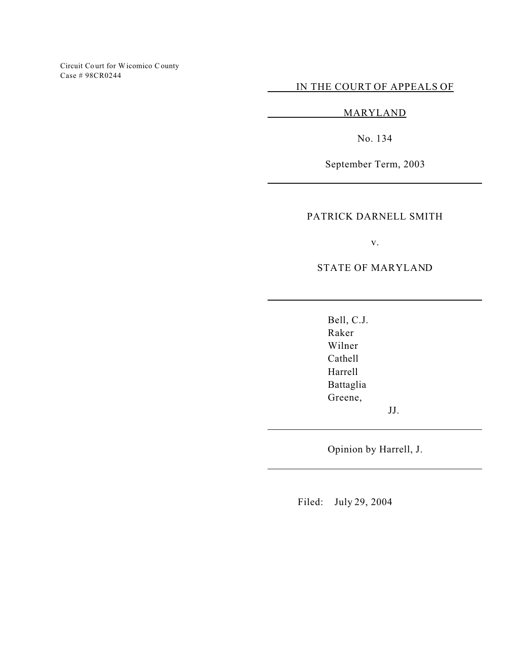Circuit Co urt for Wicomico C ounty Case # 98CR0244

IN THE COURT OF APPEALS OF

MARYLAND

No. 134

September Term, 2003

## PATRICK DARNELL SMITH

v.

STATE OF MARYLAND

Bell, C.J. Raker Wilner Cathell Harrell Battaglia Greene,

JJ.

Opinion by Harrell, J.

Filed: July 29, 2004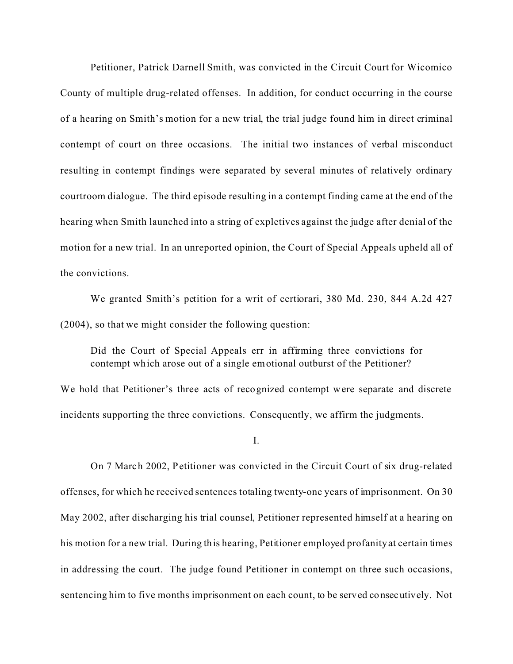Petitioner, Patrick Darnell Smith, was convicted in the Circuit Court for Wicomico County of multiple drug-related offenses. In addition, for conduct occurring in the course of a hearing on Smith's motion for a new trial, the trial judge found him in direct criminal contempt of court on three occasions. The initial two instances of verbal misconduct resulting in contempt findings were separated by several minutes of relatively ordinary courtroom dialogue. The third episode resulting in a contempt finding came at the end of the hearing when Smith launched into a string of expletives against the judge after denial of the motion for a new trial. In an unreported opinion, the Court of Special Appeals upheld all of the convictions.

We granted Smith's petition for a writ of certiorari, 380 Md. 230, 844 A.2d 427 (2004), so that we might consider the following question:

Did the Court of Special Appeals err in affirming three convictions for contempt which arose out of a single emotional outburst of the Petitioner?

We hold that Petitioner's three acts of recognized contempt were separate and discrete incidents supporting the three convictions. Consequently, we affirm the judgments.

I.

On 7 March 2002, Petitioner was convicted in the Circuit Court of six drug-related offenses, for which he received sentences totaling twenty-one years of imprisonment. On 30 May 2002, after discharging his trial counsel, Petitioner represented himself at a hearing on his motion for a new trial. During this hearing, Petitioner employed profanity at certain times in addressing the court. The judge found Petitioner in contempt on three such occasions, sentencing him to five months imprisonment on each count, to be served consecutively. Not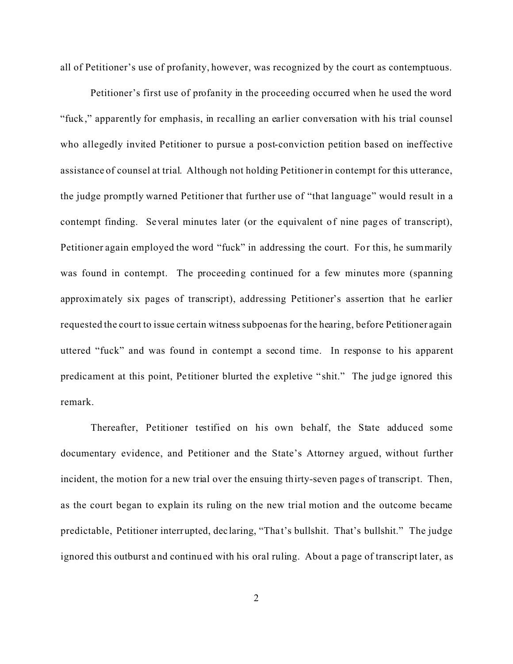all of Petitioner's use of profanity, however, was recognized by the court as contemptuous.

Petitioner's first use of profanity in the proceeding occurred when he used the word "fuck," apparently for emphasis, in recalling an earlier conversation with his trial counsel who allegedly invited Petitioner to pursue a post-conviction petition based on ineffective assistance of counsel at trial. Although not holding Petitioner in contempt for this utterance, the judge promptly warned Petitioner that further use of "that language" would result in a contempt finding. Several minutes later (or the equivalent of nine pages of transcript), Petitioner again employed the word "fuck" in addressing the court. For this, he summarily was found in contempt. The proceeding continued for a few minutes more (spanning approximately six pages of transcript), addressing Petitioner's assertion that he earlier requested the court to issue certain witness subpoenas for the hearing, before Petitioner again uttered "fuck" and was found in contempt a second time. In response to his apparent predicament at this point, Petitioner blurted the expletive "shit." The judge ignored this remark.

Thereafter, Petitioner testified on his own behalf, the State adduced some documentary evidence, and Petitioner and the State's Attorney argued, without further incident, the motion for a new trial over the ensuing thirty-seven pages of transcript. Then, as the court began to explain its ruling on the new trial motion and the outcome became predictable, Petitioner interrupted, declaring, "Tha t's bullshit. That's bullshit." The judge ignored this outburst and continued with his oral ruling. About a page of transcript later, as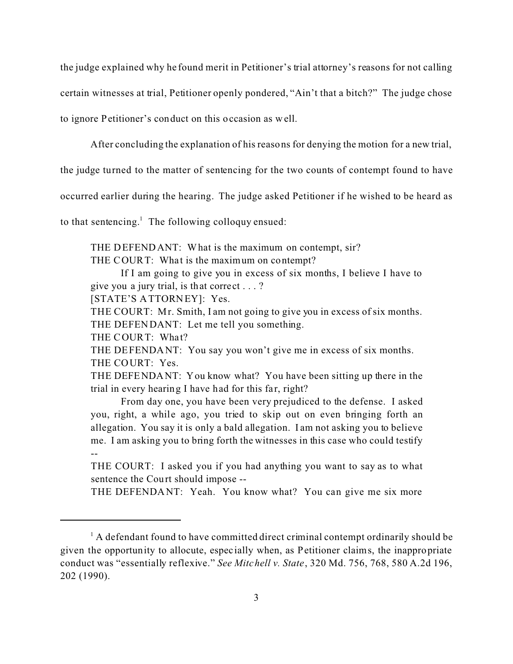the judge explained why he found merit in Petitioner's trial attorney's reasons for not calling

certain witnesses at trial, Petitioner openly pondered, "Ain't that a bitch?" The judge chose

to ignore Petitioner's conduct on this occasion as well.

After concluding the explanation of his reasons for denying the motion for a new trial,

the judge turned to the matter of sentencing for the two counts of contempt found to have

occurred earlier during the hearing. The judge asked Petitioner if he wished to be heard as

to that sentencing.<sup>1</sup> The following colloquy ensued:

THE DEFENDANT: What is the maximum on contempt, sir?

THE COURT: What is the maximum on contempt?

If I am going to give you in excess of six months, I believe I have to give you a jury trial, is that correct . . . ?

[STATE'S ATTORNEY]: Yes.

THE COURT: Mr. Smith, I am not going to give you in excess of six months. THE DEFENDANT: Let me tell you something.

THE COURT: What?

THE DEFENDANT: You say you won't give me in excess of six months. THE COURT: Yes.

THE DEFENDANT: You know what? You have been sitting up there in the trial in every hearing I have had for this far, right?

From day one, you have been very prejudiced to the defense. I asked you, right, a while ago, you tried to skip out on even bringing forth an allegation. You say it is only a bald allegation. I am not asking you to believe me. I am asking you to bring forth the witnesses in this case who could testify --

THE COURT: I asked you if you had anything you want to say as to what sentence the Court should impose --

THE DEFENDANT: Yeah. You know what? You can give me six more

 $<sup>1</sup>$  A defendant found to have committed direct criminal contempt ordinarily should be</sup> given the opportunity to allocute, espec ially when, as Petitioner claims, the inappropriate conduct was "essentially reflexive." *See Mitchell v. State*, 320 Md. 756, 768, 580 A.2d 196, 202 (1990).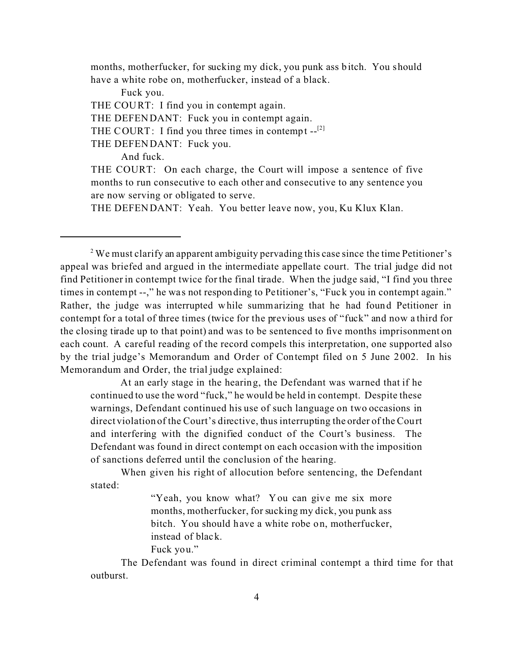months, motherfucker, for sucking my dick, you punk ass bitch. You should have a white robe on, motherfucker, instead of a black.

Fuck you.

THE COURT: I find you in contempt again.

THE DEFENDANT: Fuck you in contempt again.

THE COURT: I find you three times in contempt  $-I^{[2]}$ 

THE DEFENDANT: Fuck you.

And fuck.

THE COURT: On each charge, the Court will impose a sentence of five months to run consecutive to each other and consecutive to any sentence you are now serving or obligated to serve.

THE DEFENDANT: Yeah. You better leave now, you, Ku Klux Klan.

<sup>2</sup> We must clarify an apparent ambiguity pervading this case since the time Petitioner's appeal was briefed and argued in the intermediate appellate court. The trial judge did not find Petitioner in contempt twice for the final tirade. When the judge said, "I find you three times in contempt --," he was not responding to Petitioner's, "Fuck you in contempt again." Rather, the judge was interrupted while summarizing that he had found Petitioner in contempt for a total of three times (twice for the previous uses of "fuck" and now a third for the closing tirade up to that point) and was to be sentenced to five months imprisonment on each count. A careful reading of the record compels this interpretation, one supported also by the trial judge's Memorandum and Order of Contempt filed on 5 June 2002. In his Memorandum and Order, the trial judge explained:

At an early stage in the hearing, the Defendant was warned that if he continued to use the word "fuck," he would be held in contempt. Despite these warnings, Defendant continued his use of such language on two occasions in direct violation of the Court's directive, thus interrupting the order of the Court and interfering with the dignified conduct of the Court's business. The Defendant was found in direct contempt on each occasion with the imposition of sanctions deferred until the conclusion of the hearing.

When given his right of allocution before sentencing, the Defendant stated:

> "Yeah, you know what? You can give me six more months, motherfucker, for sucking my dick, you punk ass bitch. You should have a white robe on, motherfucker, instead of black. Fuck you."

The Defendant was found in direct criminal contempt a third time for that outburst.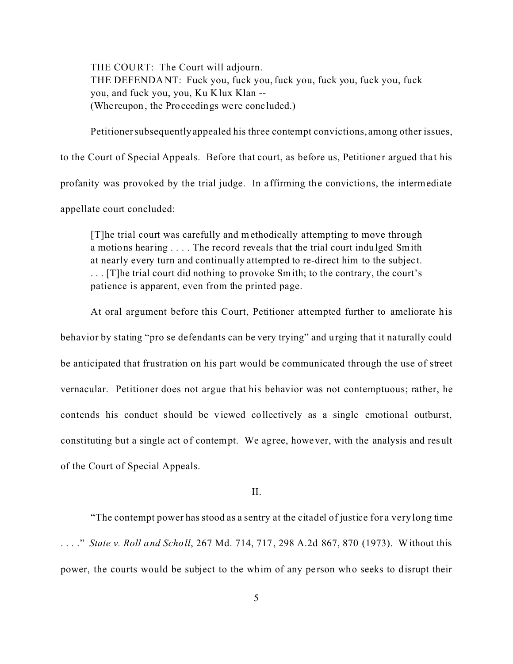THE COURT: The Court will adjourn. THE DEFENDANT: Fuck you, fuck you, fuck you, fuck you, fuck you, fuck you, and fuck you, you, Ku Klux Klan -- (Whereupon, the Proceedings were conc luded.)

Petitioner subsequently appealed his three contempt convictions, among other issues, to the Court of Special Appeals. Before that court, as before us, Petitioner argued that his profanity was provoked by the trial judge. In affirming the convictions, the intermediate appellate court concluded:

[T]he trial court was carefully and methodically attempting to move through a motions hearing . . . . The record reveals that the trial court indulged Smith at nearly every turn and continually attempted to re-direct him to the subjec t. . . . [T]he trial court did nothing to provoke Smith; to the contrary, the court's patience is apparent, even from the printed page.

At oral argument before this Court, Petitioner attempted further to ameliorate his behavior by stating "pro se defendants can be very trying" and urging that it naturally could be anticipated that frustration on his part would be communicated through the use of street vernacular. Petitioner does not argue that his behavior was not contemptuous; rather, he contends his conduct should be viewed collectively as a single emotional outburst, constituting but a single act of contempt. We agree, however, with the analysis and result of the Court of Special Appeals.

II.

"The contempt power has stood as a sentry at the citadel of justice for a very long time . . . ." *State v. Roll and Scholl*, 267 Md. 714, 717, 298 A.2d 867, 870 (1973). Without this power, the courts would be subject to the whim of any pe rson who seeks to disrupt their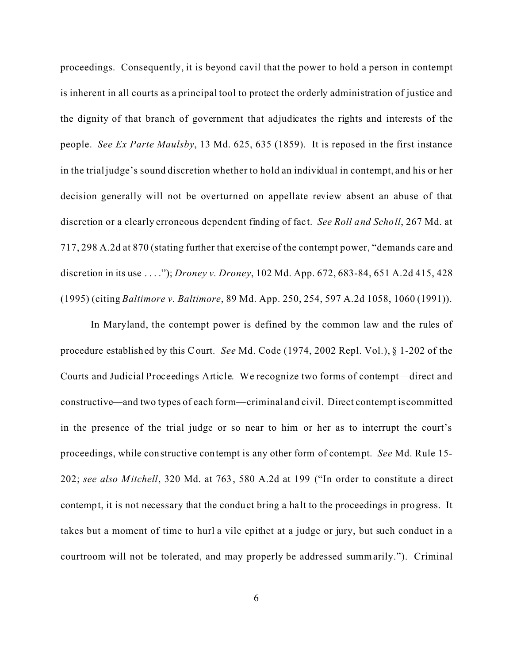proceedings. Consequently, it is beyond cavil that the power to hold a person in contempt is inherent in all courts as a principal tool to protect the orderly administration of justice and the dignity of that branch of government that adjudicates the rights and interests of the people. *See Ex Parte Maulsby*, 13 Md. 625, 635 (1859). It is reposed in the first instance in the trial judge's sound discretion whether to hold an individual in contempt, and his or her decision generally will not be overturned on appellate review absent an abuse of that discretion or a clearly erroneous dependent finding of fact. *See Roll and Scholl*, 267 Md. at 717, 298 A.2d at 870 (stating further that exercise of the contempt power, "demands care and discretion in its use . . . ."); *Droney v. Droney*, 102 Md. App. 672, 683-84, 651 A.2d 415, 428 (1995) (citing *Baltimore v. Baltimore*, 89 Md. App. 250, 254, 597 A.2d 1058, 1060 (1991)).

In Maryland, the contempt power is defined by the common law and the rules of procedure established by this Court. *See* Md. Code (1974, 2002 Repl. Vol.), § 1-202 of the Courts and Judicial Proceedings Article. We recognize two forms of contempt—direct and constructive—and two types of each form—criminal and civil. Direct contempt is committed in the presence of the trial judge or so near to him or her as to interrupt the court's proceedings, while constructive contempt is any other form of contempt. *See* Md. Rule 15- 202; *see also Mitchell*, 320 Md. at 763, 580 A.2d at 199 ("In order to constitute a direct contempt, it is not necessary that the conduct bring a ha lt to the proceedings in progress. It takes but a moment of time to hurl a vile epithet at a judge or jury, but such conduct in a courtroom will not be tolerated, and may properly be addressed summarily."). Criminal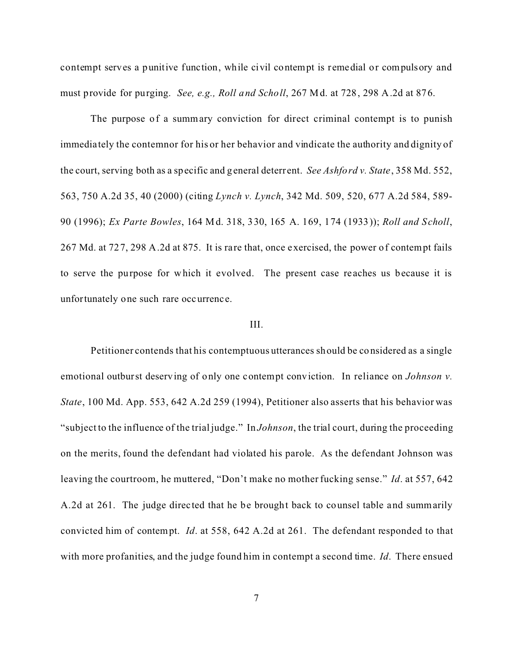contempt serves a punitive function, while civil contempt is remedial or compulsory and must provide for purging. *See, e.g., Roll and Scholl*, 267 Md. at 728, 298 A.2d at 876.

The purpose of a summary conviction for direct criminal contempt is to punish immediately the contemnor for his or her behavior and vindicate the authority and dignity of the court, serving both as a specific and general deterrent. *See Ashford v. State*, 358 Md. 552, 563, 750 A.2d 35, 40 (2000) (citing *Lynch v. Lynch*, 342 Md. 509, 520, 677 A.2d 584, 589- 90 (1996); *Ex Parte Bowles*, 164 Md. 318, 330, 165 A. 169, 174 (1933)); *Roll and Scholl*, 267 Md. at 727, 298 A.2d at 875. It is rare that, once exercised, the power of contempt fails to serve the purpose for which it evolved. The present case re aches us because it is unfortunately one such rare occurrence.

# III.

Petitioner contends that his contemptuous utterances should be considered as a single emotional outburst deserving of only one contempt conviction. In reliance on *Johnson v. State*, 100 Md. App. 553, 642 A.2d 259 (1994), Petitioner also asserts that his behavior was "subject to the influence of the trial judge." In *Johnson*, the trial court, during the proceeding on the merits, found the defendant had violated his parole. As the defendant Johnson was leaving the courtroom, he muttered, "Don't make no mother fucking sense." *Id*. at 557, 642 A.2d at 261. The judge direc ted that he be brought back to counsel table and summarily convicted him of contempt. *Id*. at 558, 642 A.2d at 261. The defendant responded to that with more profanities, and the judge found him in contempt a second time. *Id*. There ensued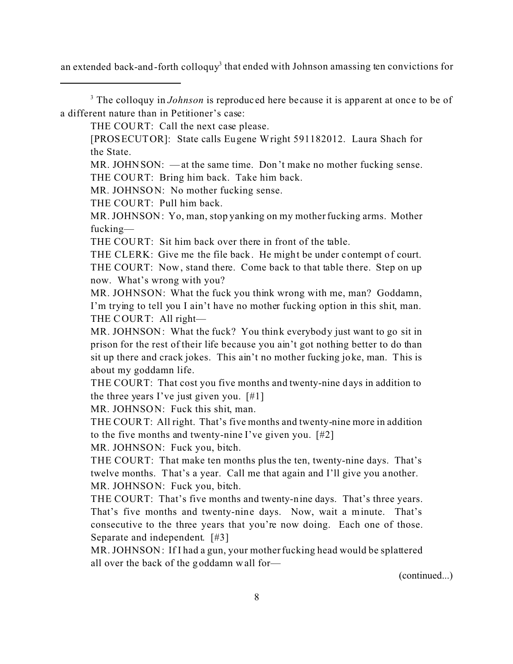an extended back-and-forth colloquy<sup>3</sup> that ended with Johnson amassing ten convictions for

<sup>3</sup> The colloquy in *Johnson* is reproduced here because it is apparent at once to be of a different nature than in Petitioner's case:

THE COURT: Call the next case please.

[PROSECUTOR]: State calls Eugene Wright 591182012. Laura Shach for the State.

MR. JOHNSON: —at the same time. Don't make no mother fucking sense. THE COURT: Bring him back. Take him back.

MR. JOHNSON: No mother fucking sense.

THE COURT: Pull him back.

MR. JOHNSON: Yo, man, stop yanking on my mother fucking arms. Mother fucking—

THE COURT: Sit him back over there in front of the table.

THE CLERK: Give me the file back. He might be under contempt of court. THE COURT: Now, stand there. Come back to that table there. Step on up now. What's wrong with you?

MR. JOHNSON: What the fuck you think wrong with me, man? Goddamn, I'm trying to tell you I ain't have no mother fucking option in this shit, man. THE COURT: All right—

MR. JOHNSON: What the fuck? You think everybody just want to go sit in prison for the rest of their life because you ain't got nothing better to do than sit up there and crack jokes. This ain't no mother fucking joke, man. This is about my goddamn life.

THE COURT: That cost you five months and twenty-nine days in addition to the three years I've just given you.  $[#1]$ 

MR. JOHNSON: Fuck this shit, man.

THE COURT: All right. That's five months and twenty-nine more in addition to the five months and twenty-nine I've given you. [#2]

MR. JOHNSON: Fuck you, bitch.

THE COURT: That make ten months plus the ten, twenty-nine days. That's twelve months. That's a year. Call me that again and I'll give you another. MR. JOHNSON: Fuck you, bitch.

THE COURT: That's five months and twenty-nine days. That's three years. That's five months and twenty-nine days. Now, wait a minute. That's consecutive to the three years that you're now doing. Each one of those. Separate and independent. [#3]

MR. JOHNSON: If I had a gun, your mother fucking head would be splattered all over the back of the goddamn wall for—

(continued...)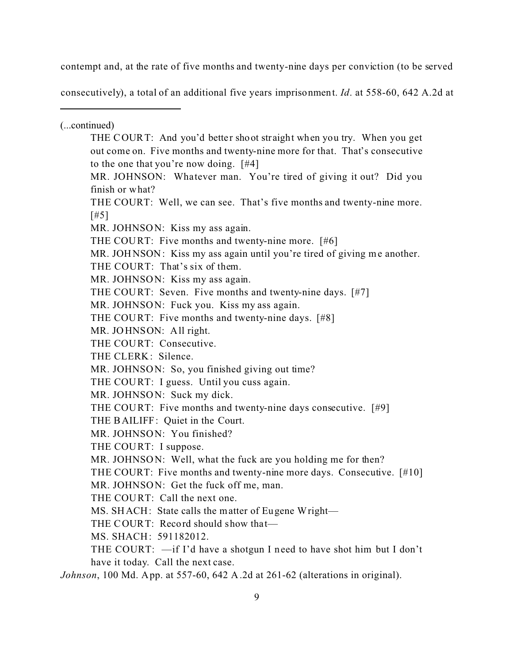contempt and, at the rate of five months and twenty-nine days per conviction (to be served

consecutively), a total of an additional five years imprisonment. *Id*. at 558-60, 642 A.2d at

(...continued) THE COURT: And you'd better shoot straight when you try. When you get out come on. Five months and twenty-nine more for that. That's consecutive to the one that you're now doing. [#4] MR. JOHNSON: Whatever man. You're tired of giving it out? Did you finish or what? THE COURT: Well, we can see. That's five months and twenty-nine more. [#5] MR. JOHNSON: Kiss my ass again. THE COURT: Five months and twenty-nine more. [#6] MR. JOHNSON: Kiss my ass again until you're tired of giving me another. THE COURT: That's six of them. MR. JOHNSON: Kiss my ass again. THE COURT: Seven. Five months and twenty-nine days. [#7] MR. JOHNSON: Fuck you. Kiss my ass again. THE COURT: Five months and twenty-nine days. [#8] MR. JOHNSON: All right. THE COURT: Consecutive. THE CLERK: Silence. MR. JOHNSON: So, you finished giving out time? THE COURT: I guess. Until you cuss again. MR. JOHNSON: Suck my dick. THE COURT: Five months and twenty-nine days consecutive. [#9] THE BAILIFF: Quiet in the Court. MR. JOHNSON: You finished? THE COURT: I suppose. MR. JOHNSON: Well, what the fuck are you holding me for then? THE COURT: Five months and twenty-nine more days. Consecutive. [#10] MR. JOHNSON: Get the fuck off me, man. THE COURT: Call the next one. MS. SHACH: State calls the matter of Eugene Wright— THE COURT: Record should show that-MS. SHACH: 591182012. THE COURT: —if I'd have a shotgun I need to have shot him but I don't have it today. Call the next case. *Johnson*, 100 Md. App. at 557-60, 642 A.2d at 261-62 (alterations in original).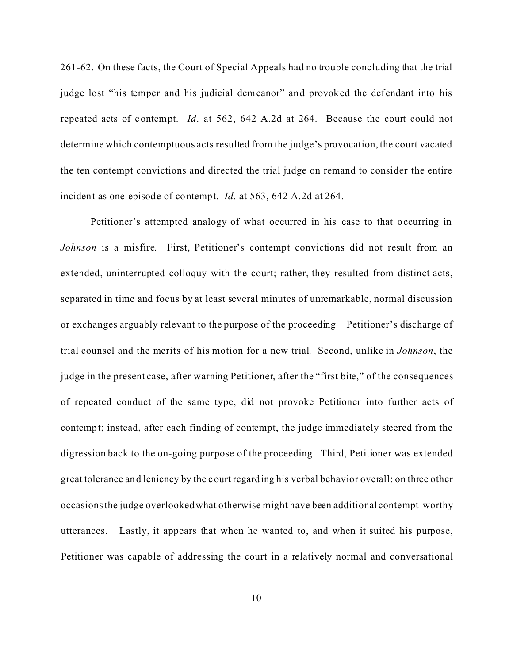261-62. On these facts, the Court of Special Appeals had no trouble concluding that the trial judge lost "his temper and his judicial demeanor" and provoked the defendant into his repeated acts of contempt. *Id*. at 562, 642 A.2d at 264. Because the court could not determine which contemptuous acts resulted from the judge's provocation, the court vacated the ten contempt convictions and directed the trial judge on remand to consider the entire incident as one episode of contempt. *Id*. at 563, 642 A.2d at 264.

Petitioner's attempted analogy of what occurred in his case to that occurring in *Johnson* is a misfire. First, Petitioner's contempt convictions did not result from an extended, uninterrupted colloquy with the court; rather, they resulted from distinct acts, separated in time and focus by at least several minutes of unremarkable, normal discussion or exchanges arguably relevant to the purpose of the proceeding—Petitioner's discharge of trial counsel and the merits of his motion for a new trial. Second, unlike in *Johnson*, the judge in the present case, after warning Petitioner, after the "first bite," of the consequences of repeated conduct of the same type, did not provoke Petitioner into further acts of contempt; instead, after each finding of contempt, the judge immediately steered from the digression back to the on-going purpose of the proceeding. Third, Petitioner was extended great tolerance and leniency by the court regarding his verbal behavior overall: on three other occasions the judge overlooked what otherwise might have been additional contempt-worthy utterances. Lastly, it appears that when he wanted to, and when it suited his purpose, Petitioner was capable of addressing the court in a relatively normal and conversational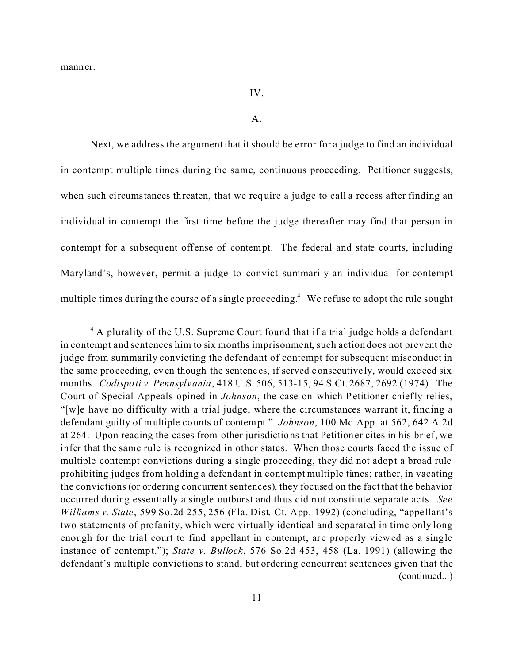manner.

## IV.

#### A.

Next, we address the argument that it should be error for a judge to find an individual in contempt multiple times during the same, continuous proceeding. Petitioner suggests, when such circumstances threaten, that we require a judge to call a recess after finding an individual in contempt the first time before the judge thereafter may find that person in contempt for a subsequent offense of contempt. The federal and state courts, including Maryland's, however, permit a judge to convict summarily an individual for contempt multiple times during the course of a single proceeding.<sup>4</sup> We refuse to adopt the rule sought

<sup>&</sup>lt;sup>4</sup> A plurality of the U.S. Supreme Court found that if a trial judge holds a defendant in contempt and sentences him to six months imprisonment, such action does not prevent the judge from summarily convicting the defendant of contempt for subsequent misconduct in the same proceeding, even though the sentenc es, if served consecutive ly, would exc eed six months. *Codispoti v. Pennsylvania*, 418 U.S. 506, 513-15, 94 S.Ct. 2687, 2692 (1974). The Court of Special Appeals opined in *Johnson*, the case on which Petitioner chiefly relies, "[w]e have no difficulty with a trial judge, where the circumstances warrant it, finding a defendant guilty of multiple counts of contempt." *Johnson*, 100 Md.App. at 562, 642 A.2d at 264. Upon reading the cases from other jurisdictions that Petitioner cites in his brief, we infer that the same rule is recognized in other states. When those courts faced the issue of multiple contempt convictions during a single proceeding, they did not adopt a broad rule prohibiting judges from holding a defendant in contempt multiple times; rather, in vacating the convictions (or ordering concurrent sentences), they focused on the fact that the behavior occurred during essentially a single outburst and thus did not constitute separate acts. *See Williams v. State*, 599 So.2d 255, 256 (Fla. Dist. Ct. App. 1992) (concluding, "appe llant's two statements of profanity, which were virtually identical and separated in time only long enough for the trial court to find appellant in contempt, are properly viewed as a single instance of contempt."); *State v. Bullock*, 576 So.2d 453, 458 (La. 1991) (allowing the defendant's multiple convictions to stand, but ordering concurrent sentences given that the (continued...)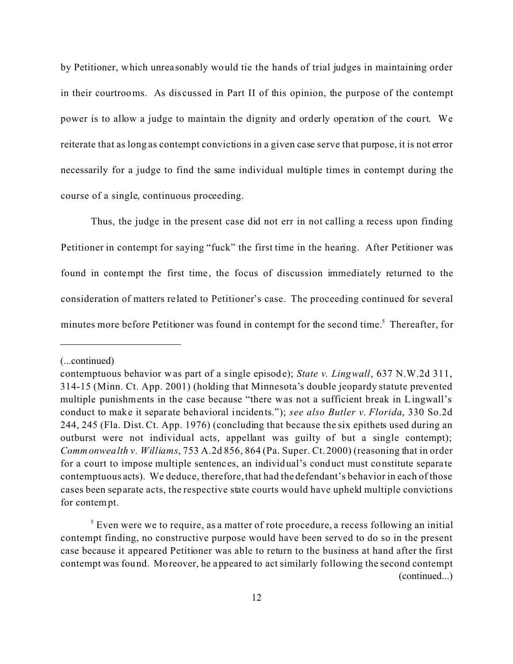by Petitioner, which unrea sonably would tie the hands of trial judges in maintaining order in their courtrooms. As discussed in Part II of this opinion, the purpose of the contempt power is to allow a judge to maintain the dignity and orderly operation of the court. We reiterate that as long as contempt convictions in a given case serve that purpose, it is not error necessarily for a judge to find the same individual multiple times in contempt during the course of a single, continuous proceeding.

Thus, the judge in the present case did not err in not calling a recess upon finding Petitioner in contempt for saying "fuck" the first time in the hearing. After Petitioner was found in contempt the first time, the focus of discussion immediately returned to the consideration of matters re lated to Petitioner's case. The proceeding continued for several minutes more before Petitioner was found in contempt for the second time.<sup>5</sup> Thereafter, for

<sup>(...</sup>continued)

contemptuous behavior was part of a single episode); *State v. Lingwall*, 637 N.W.2d 311, 314-15 (Minn. Ct. App. 2001) (holding that Minnesota's double jeopardy statute prevented multiple punishments in the case because "there was not a sufficient break in Lingwall's conduct to make it separate behavioral incidents."); *see also Butler v. Florida*, 330 So.2d 244, 245 (Fla. Dist. Ct. App. 1976) (concluding that because the six epithets used during an outburst were not individual acts, appellant was guilty of but a single contempt); *Commonwealth v. Williams*, 753 A.2d 856, 864 (Pa. Super. Ct. 2000) (reasoning that in order for a court to impose multiple sentenc es, an individual's conduct must constitute separa te contemptuous acts). We deduce, therefore, that had the defendant's behavior in each of those cases been separate acts, the respective state courts would have upheld multiple convictions for contempt.

 $5$  Even were we to require, as a matter of rote procedure, a recess following an initial contempt finding, no constructive purpose would have been served to do so in the present case because it appeared Petitioner was able to return to the business at hand after the first contempt was found. Moreover, he appeared to act similarly following the second contempt (continued...)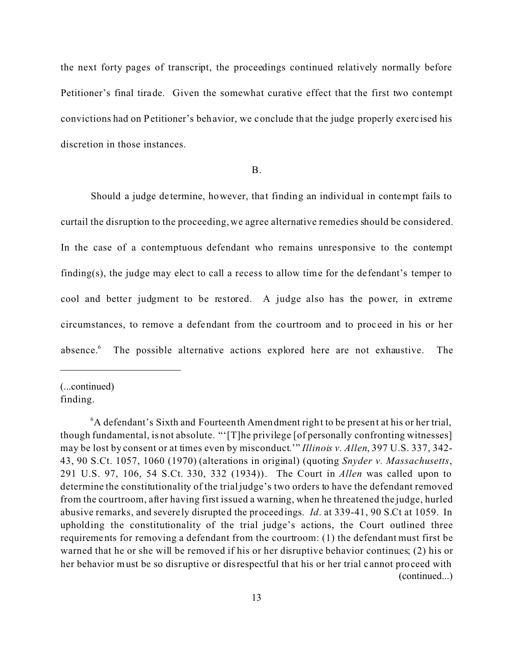the next forty pages of transcript, the proceedings continued relatively normally before Petitioner's final tirade. Given the somewhat curative effect that the first two contempt convictions had on Petitioner's behavior, we conclude that the judge properly exerc ised his discretion in those instances.

### B.

Should a judge de termine, however, that finding an individual in contempt fails to curtail the disruption to the proceeding, we agree alternative remedies should be considered. In the case of a contemptuous defendant who remains unresponsive to the contempt finding(s), the judge may elect to call a recess to allow time for the de fendant's temper to cool and better judgment to be restored. A judge also has the power, in extreme circumstances, to remove a defendant from the courtroom and to proc eed in his or her absence. $6$ The possible alternative actions explored here are not exhaustive. The

(...continued) finding.

 $6A$  defendant's Sixth and Fourteenth Amendment right to be present at his or her trial, though fundamental, is not absolute. "'[T]he privilege [of personally confronting witnesses] may be lost by consent or at times even by misconduct.'" *Illinois v. Allen*, 397 U.S. 337, 342- 43, 90 S.Ct. 1057, 1060 (1970) (alterations in original) (quoting *Snyder v. Massachusetts*, 291 U.S. 97, 106, 54 S.Ct. 330, 332 (1934)). The Court in *Allen* was called upon to determine the constitutionality of the trial judge's two orders to have the defendant removed from the courtroom, after having first issued a warning, when he threatened the judge, hurled abusive remarks, and severely disrupted the proceedings. *Id*. at 339-41, 90 S.Ct at 1059. In upholding the constitutionality of the trial judge's actions, the Court outlined three requirements for removing a defendant from the courtroom: (1) the defendant must first be warned that he or she will be removed if his or her disruptive behavior continues; (2) his or her behavior must be so disruptive or disrespectful that his or her trial cannot proceed with (continued...)